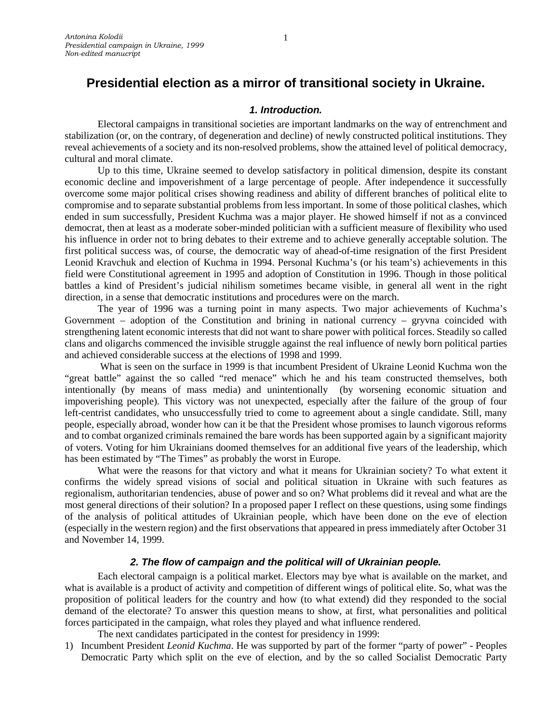# **Presidential election as a mirror of transitional society in Ukraine.**

### *1. Introduction.*

Electoral campaigns in transitional societies are important landmarks on the way of entrenchment and stabilization (or, on the contrary, of degeneration and decline) of newly constructed political institutions. They reveal achievements of a society and its non-resolved problems, show the attained level of political democracy, cultural and moral climate.

Up to this time, Ukraine seemed to develop satisfactory in political dimension, despite its constant economic decline and impoverishment of a large percentage of people. After independence it successfully overcome some major political crises showing readiness and ability of different branches of political elite to compromise and to separate substantial problems from less important. In some of those political clashes, which ended in sum successfully, President Kuchma was a major player. He showed himself if not as a convinced democrat, then at least as a moderate sober-minded politician with a sufficient measure of flexibility who used his influence in order not to bring debates to their extreme and to achieve generally acceptable solution. The first political success was, of course, the democratic way of ahead-of-time resignation of the first President Leonid Kravchuk and election of Kuchma in 1994. Personal Kuchma's (or his team's) achievements in this field were Constitutional agreement in 1995 and adoption of Constitution in 1996. Though in those political battles a kind of President's judicial nihilism sometimes became visible, in general all went in the right direction, in a sense that democratic institutions and procedures were on the march.

The year of 1996 was a turning point in many aspects. Two major achievements of Kuchma's Government – adoption of the Constitution and brining in national currency – gryvna coincided with strengthening latent economic interests that did not want to share power with political forces. Steadily so called clans and oligarchs commenced the invisible struggle against the real influence of newly born political parties and achieved considerable success at the elections of 1998 and 1999.

What is seen on the surface in 1999 is that incumbent President of Ukraine Leonid Kuchma won the "great battle" against the so called "red menace" which he and his team constructed themselves, both intentionally (by means of mass media) and unintentionally (by worsening economic situation and impoverishing people). This victory was not unexpected, especially after the failure of the group of four left-centrist candidates, who unsuccessfully tried to come to agreement about a single candidate. Still, many people, especially abroad, wonder how can it be that the President whose promises to launch vigorous reforms and to combat organized criminals remained the bare words has been supported again by a significant majority of voters. Voting for him Ukrainians doomed themselves for an additional five years of the leadership, which has been estimated by "The Times" as probably the worst in Europe.

What were the reasons for that victory and what it means for Ukrainian society? To what extent it confirms the widely spread visions of social and political situation in Ukraine with such features as regionalism, authoritarian tendencies, abuse of power and so on? What problems did it reveal and what are the most general directions of their solution? In a proposed paper I reflect on these questions, using some findings of the analysis of political attitudes of Ukrainian people, which have been done on the eve of election (especially in the western region) and the first observations that appeared in press immediately after October 31 and November 14, 1999.

### *2. The flow of campaign and the political will of Ukrainian people.*

Each electoral campaign is a political market. Electors may bye what is available on the market, and what is available is a product of activity and competition of different wings of political elite. So, what was the proposition of political leaders for the country and how (to what extend) did they responded to the social demand of the electorate? To answer this question means to show, at first, what personalities and political forces participated in the campaign, what roles they played and what influence rendered.

The next candidates participated in the contest for presidency in 1999:

1) Incumbent President *Leonid Kuchma*. He was supported by part of the former "party of power" - Peoples Democratic Party which split on the eve of election, and by the so called Socialist Democratic Party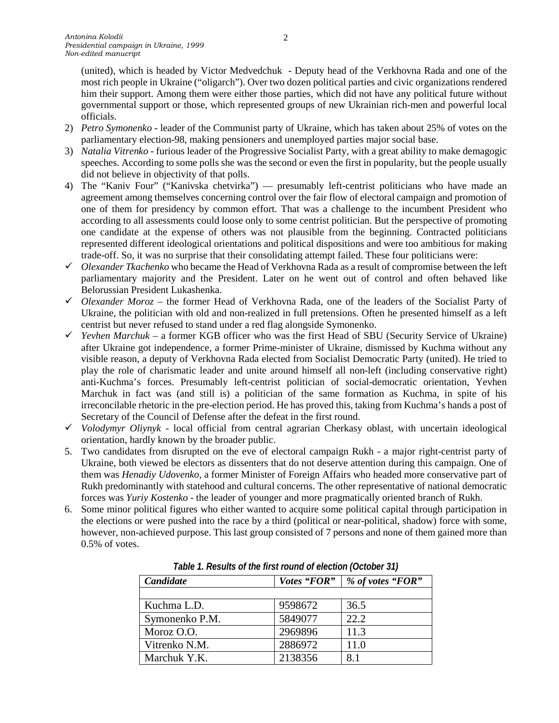(united), which is headed by Victor Medvedchuk - Deputy head of the Verkhovna Rada and one of the most rich people in Ukraine ("oligarch"). Over two dozen political parties and civic organizations rendered him their support. Among them were either those parties, which did not have any political future without governmental support or those, which represented groups of new Ukrainian rich-men and powerful local officials.

- 2) *Petro Symonenko* leader of the Communist party of Ukraine, which has taken about 25% of votes on the parliamentary election-98, making pensioners and unemployed parties major social base.
- 3) *Natalia Vitrenko* furious leader of the Progressive Socialist Party, with a great ability to make demagogic speeches. According to some polls she was the second or even the first in popularity, but the people usually did not believe in objectivity of that polls.
- 4) The "Kaniv Four" ("Kanivska chetvirka") presumably left-centrist politicians who have made an agreement among themselves concerning control over the fair flow of electoral campaign and promotion of one of them for presidency by common effort. That was a challenge to the incumbent President who according to all assessments could loose only to some centrist politician. But the perspective of promoting one candidate at the expense of others was not plausible from the beginning. Contracted politicians represented different ideological orientations and political dispositions and were too ambitious for making trade-off. So, it was no surprise that their consolidating attempt failed. These four politicians were:
- *Olexander Tkachenko* who became the Head of Verkhovna Rada as a result of compromise between the left parliamentary majority and the President. Later on he went out of control and often behaved like Belorussian President Lukashenka.
- *Olexander Moroz* the former Head of Verkhovna Rada, one of the leaders of the Socialist Party of Ukraine, the politician with old and non-realized in full pretensions. Often he presented himself as a left centrist but never refused to stand under a red flag alongside Symonenko.
- *Yevhen Marchuk* a former KGB officer who was the first Head of SBU (Security Service of Ukraine) after Ukraine got independence, a former Prime-minister of Ukraine, dismissed by Kuchma without any visible reason, a deputy of Verkhovna Rada elected from Socialist Democratic Party (united). He tried to play the role of charismatic leader and unite around himself all non-left (including conservative right) anti-Kuchma's forces. Presumably left-centrist politician of social-democratic orientation, Yevhen Marchuk in fact was (and still is) a politician of the same formation as Kuchma, in spite of his irreconcilable rhetoric in the pre-election period. He has proved this, taking from Kuchma's hands a post of Secretary of the Council of Defense after the defeat in the first round.
- $\checkmark$  Volodymyr Oliynyk local official from central agrarian Cherkasy oblast, with uncertain ideological orientation, hardly known by the broader public.
- 5. Two candidates from disrupted on the eve of electoral campaign Rukh a major right-centrist party of Ukraine, both viewed be electors as dissenters that do not deserve attention during this campaign. One of them was *Henadiy Udovenko,* a former Minister of Foreign Affairs who headed more conservative part of Rukh predominantly with statehood and cultural concerns. The other representative of national democratic forces was *Yuriy Kostenko* - the leader of younger and more pragmatically oriented branch of Rukh.
- 6. Some minor political figures who either wanted to acquire some political capital through participation in the elections or were pushed into the race by a third (political or near-political, shadow) force with some, however, non-achieved purpose. This last group consisted of 7 persons and none of them gained more than 0.5% of votes.

| Candidate      | Votes "FOR" | % of votes "FOR" |  |  |  |  |  |  |  |  |
|----------------|-------------|------------------|--|--|--|--|--|--|--|--|
|                |             |                  |  |  |  |  |  |  |  |  |
| Kuchma L.D.    | 9598672     | 36.5             |  |  |  |  |  |  |  |  |
| Symonenko P.M. | 5849077     | 22.2             |  |  |  |  |  |  |  |  |
| Moroz O.O.     | 2969896     | 11.3             |  |  |  |  |  |  |  |  |
| Vitrenko N.M.  | 2886972     | 11.0             |  |  |  |  |  |  |  |  |
| Marchuk Y.K.   | 2138356     | 8.1              |  |  |  |  |  |  |  |  |

*Table 1. Results of the first round of election (October 31)*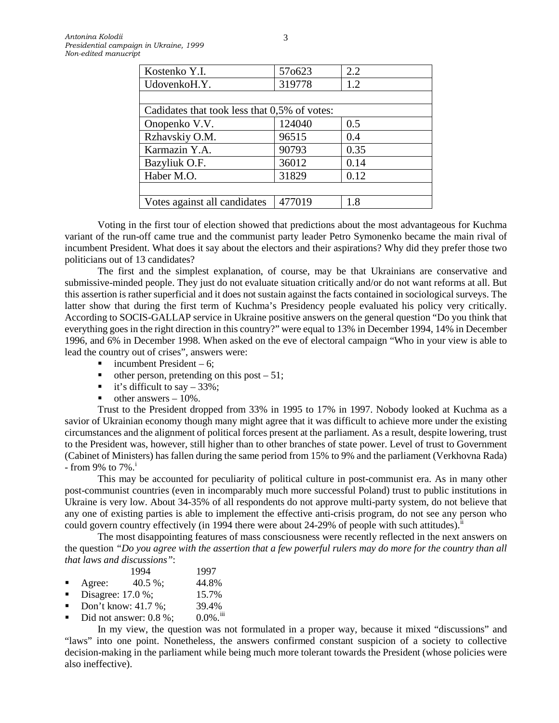| 57o623                                       | 2.2  |
|----------------------------------------------|------|
| 319778                                       | 1.2  |
|                                              |      |
| Cadidates that took less that 0,5% of votes: |      |
| 124040                                       | 0.5  |
| 96515                                        | 0.4  |
| 90793                                        | 0.35 |
| 36012                                        | 0.14 |
| 31829                                        | 0.12 |
|                                              |      |
| 477019                                       | 1.8  |
|                                              |      |

Voting in the first tour of election showed that predictions about the most advantageous for Kuchma variant of the run-off came true and the communist party leader Petro Symonenko became the main rival of incumbent President. What does it say about the electors and their aspirations? Why did they prefer those two politicians out of 13 candidates?

The first and the simplest explanation, of course, may be that Ukrainians are conservative and submissive-minded people. They just do not evaluate situation critically and/or do not want reforms at all. But this assertion is rather superficial and it does not sustain against the facts contained in sociological surveys. The latter show that during the first term of Kuchma's Presidency people evaluated his policy very critically. According to SOCIS-GALLAP service in Ukraine positive answers on the general question "Do you think that everything goes in the right direction in this country?" were equal to 13% in December 1994, 14% in December 1996, and 6% in December 1998. When asked on the eve of electoral campaign "Who in your view is able to lead the country out of crises", answers were:

- $\blacksquare$  incumbent President 6:
- $\blacksquare$  other person, pretending on this post  $-51$ ;
- it's difficult to say  $-33\%$ ;
- $\blacksquare$  other answers  $-10\%$ .

Trust to the President dropped from 33% in 1995 to 17% in 1997. Nobody looked at Kuchma as a savior of Ukrainian economy though many might agree that it was difficult to achieve more under the existing circumstances and the alignment of political forces present at the parliament. As a result, despite lowering, trust to the President was, however, still higher than to other branches of state power. Level of trust to Government (Cabinet of Ministers) has fallen during the same period from 15% to 9% and the parliament (Verkhovna Rada) - from 9% to  $7\%$ .

This may be accounted for peculiarity of political culture in post-communist era. As in many other post-communist countries (even in incomparably much more successful Poland) trust to public institutions in Ukraine is very low. About 34-35% of all respondents do not approve multi-party system, do not believe that any one of existing parties is able to implement the effective anti-crisis program, do not see any person who could govern country effectively (in 1994 there were about  $24-29\%$  of people with such attitudes).<sup>[ii](#page-13-1)</sup>

The most disappointing features of mass consciousness were recently reflected in the next answers on the question *"Do you agree with the assertion that a few powerful rulers may do more for the country than all that laws and discussions"*:

|                |                   | 1994                | 1997  |
|----------------|-------------------|---------------------|-------|
| $\blacksquare$ | Agree:            | $40.5\%$            | 44.8% |
|                | Disagree: 17.0 %; |                     | 15.7% |
|                |                   | Don't know: 41.7 %; | 39.4% |
|                |                   |                     |       |

Did not answer:  $0.8 \%$ ;  $0.0\%$ .<sup>[iii](#page-13-2)</sup>

In my view, the question was not formulated in a proper way, because it mixed "discussions" and "laws" into one point. Nonetheless, the answers confirmed constant suspicion of a society to collective decision-making in the parliament while being much more tolerant towards the President (whose policies were also ineffective).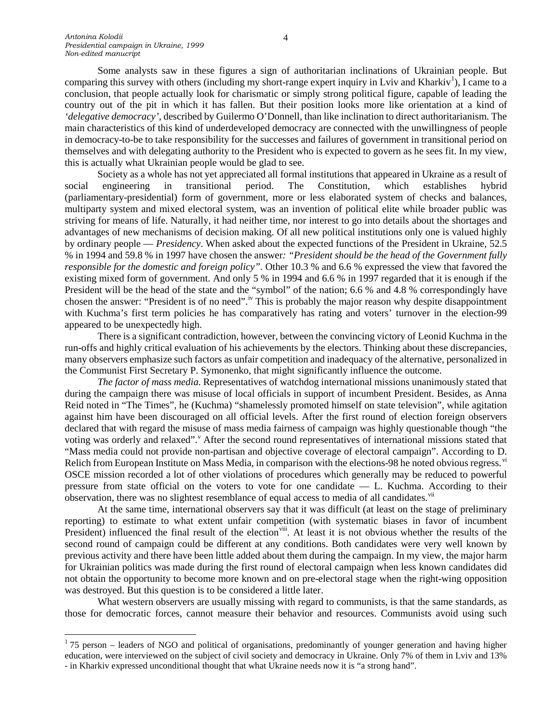Some analysts saw in these figures a sign of authoritarian inclinations of Ukrainian people. But comparing this survey with others (including my short-range expert inquiry in Lviv and Kharkiv<sup>[1](#page-3-0)</sup>), I came to a conclusion, that people actually look for charismatic or simply strong political figure, capable of leading the country out of the pit in which it has fallen. But their position looks more like orientation at a kind of *'delegative democracy'*, described by Guilermo O'Donnell, than like inclination to direct authoritarianism. The main characteristics of this kind of underdeveloped democracy are connected with the unwillingness of people in democracy-to-be to take responsibility for the successes and failures of government in transitional period on themselves and with delegating authority to the President who is expected to govern as he sees fit. In my view, this is actually what Ukrainian people would be glad to see.

Society as a whole has not yet appreciated all formal institutions that appeared in Ukraine as a result of social engineering in transitional period. The Constitution, which establishes hybrid (parliamentary-presidential) form of government, more or less elaborated system of checks and balances, multiparty system and mixed electoral system, was an invention of political elite while broader public was striving for means of life. Naturally, it had neither time, nor interest to go into details about the shortages and advantages of new mechanisms of decision making. Of all new political institutions only one is valued highly by ordinary people — *Presidency*. When asked about the expected functions of the President in Ukraine, 52.5 % in 1994 and 59.8 % in 1997 have chosen the answer*: "President should be the head of the Government fully responsible for the domestic and foreign policy".* Other 10.3 % and 6.6 % expressed the view that favored the existing mixed form of government. And only 5 % in 1994 and 6.6 % in 1997 regarded that it is enough if the President will be the head of the state and the "symbol" of the nation; 6.6 % and 4.8 % correspondingly have chosen the answer: "President is of no need".<sup>[iv](#page-13-3)</sup> This is probably the major reason why despite disappointment with Kuchma's first term policies he has comparatively has rating and voters' turnover in the election-99 appeared to be unexpectedly high.

There is a significant contradiction, however, between the convincing victory of Leonid Kuchma in the run-offs and highly critical evaluation of his achievements by the electors. Thinking about these discrepancies, many observers emphasize such factors as unfair competition and inadequacy of the alternative, personalized in the Communist First Secretary P. Symonenko, that might significantly influence the outcome.

*The factor of mass media.* Representatives of watchdog international missions unanimously stated that during the campaign there was misuse of local officials in support of incumbent President. Besides, as Anna Reid noted in "The Times", he (Kuchma) "shamelessly promoted himself on state television", while agitation against him have been discouraged on all official levels. After the first round of election foreign observers declared that with regard the misuse of mass media fairness of campaign was highly questionable though "the [v](#page-13-4)oting was orderly and relaxed". After the second round representatives of international missions stated that "Mass media could not provide non-partisan and objective coverage of electoral campaign". According to D. Relich from European Institute on Mass Media, in comparison with the elections-98 he noted ob[vi](#page-13-5)ous regress. vi OSCE mission recorded a lot of other violations of procedures which generally may be reduced to powerful pressure from state official on the voters to vote for one candidate — L. Kuchma. According to their observation, there was no slightest resemblance of equal access to media of all candidates.<sup>[vii](#page-13-6)</sup>

At the same time, international observers say that it was difficult (at least on the stage of preliminary reporting) to estimate to what extent unfair competition (with systematic biases in favor of incumbent President) influenced the final result of the election<sup>viii</sup>. At least it is not obvious whether the results of the second round of campaign could be different at any conditions. Both candidates were very well known by previous activity and there have been little added about them during the campaign. In my view, the major harm for Ukrainian politics was made during the first round of electoral campaign when less known candidates did not obtain the opportunity to become more known and on pre-electoral stage when the right-wing opposition was destroyed. But this question is to be considered a little later.

What western observers are usually missing with regard to communists, is that the same standards, as those for democratic forces, cannot measure their behavior and resources. Communists avoid using such

<span id="page-3-0"></span> $175$  person – leaders of NGO and political of organisations, predominantly of younger generation and having higher education, were interviewed on the subject of civil society and democracy in Ukraine. Only 7% of them in Lviv and 13% - in Kharkiv expressed unconditional thought that what Ukraine needs now it is "a strong hand".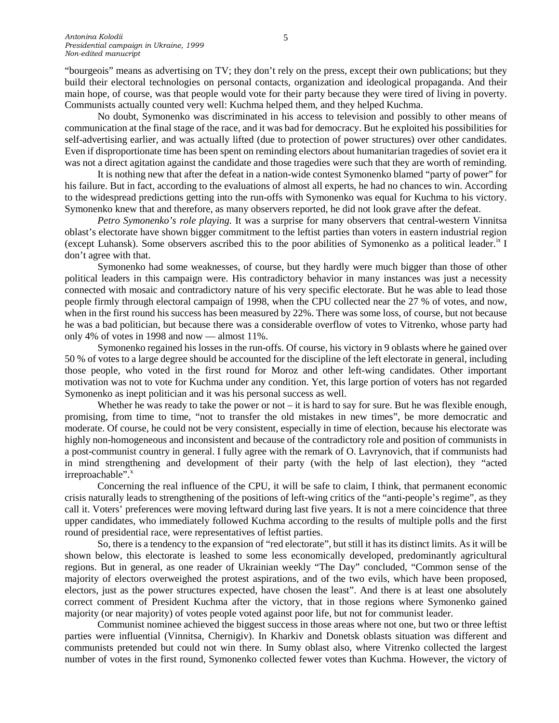"bourgeois" means as advertising on TV; they don't rely on the press, except their own publications; but they build their electoral technologies on personal contacts, organization and ideological propaganda. And their main hope, of course, was that people would vote for their party because they were tired of living in poverty. Communists actually counted very well: Kuchma helped them, and they helped Kuchma.

No doubt, Symonenko was discriminated in his access to television and possibly to other means of communication at the final stage of the race, and it was bad for democracy. But he exploited his possibilities for self-advertising earlier, and was actually lifted (due to protection of power structures) over other candidates. Even if disproportionate time has been spent on reminding electors about humanitarian tragedies of soviet era it was not a direct agitation against the candidate and those tragedies were such that they are worth of reminding.

It is nothing new that after the defeat in a nation-wide contest Symonenko blamed "party of power" for his failure. But in fact, according to the evaluations of almost all experts, he had no chances to win. According to the widespread predictions getting into the run-offs with Symonenko was equal for Kuchma to his victory. Symonenko knew that and therefore, as many observers reported, he did not look grave after the defeat.

*Petro Symonenko's role playing.* It was a surprise for many observers that central-western Vinnitsa oblast's electorate have shown bigger commitment to the leftist parties than voters in eastern industrial region (except Luhansk). Some observers ascribed this to the poor abilities of Symonenko as a political leader.<sup>[ix](#page-13-8)</sup> I don't agree with that.

Symonenko had some weaknesses, of course, but they hardly were much bigger than those of other political leaders in this campaign were. His contradictory behavior in many instances was just a necessity connected with mosaic and contradictory nature of his very specific electorate. But he was able to lead those people firmly through electoral campaign of 1998, when the CPU collected near the 27 % of votes, and now, when in the first round his success has been measured by 22%. There was some loss, of course, but not because he was a bad politician, but because there was a considerable overflow of votes to Vitrenko, whose party had only 4% of votes in 1998 and now — almost 11%.

Symonenko regained his losses in the run-offs. Of course, his victory in 9 oblasts where he gained over 50 % of votes to a large degree should be accounted for the discipline of the left electorate in general, including those people, who voted in the first round for Moroz and other left-wing candidates. Other important motivation was not to vote for Kuchma under any condition. Yet, this large portion of voters has not regarded Symonenko as inept politician and it was his personal success as well.

Whether he was ready to take the power or not – it is hard to say for sure. But he was flexible enough, promising, from time to time, "not to transfer the old mistakes in new times", be more democratic and moderate. Of course, he could not be very consistent, especially in time of election, because his electorate was highly non-homogeneous and inconsistent and because of the contradictory role and position of communists in a post-communist country in general. I fully agree with the remark of O. Lavrynovich, that if communists had in mind strengthening and development of their party (with the help of last election), they "acted irreproachable".<sup>[x](#page-13-9)</sup>

Concerning the real influence of the CPU, it will be safe to claim, I think, that permanent economic crisis naturally leads to strengthening of the positions of left-wing critics of the "anti-people's regime", as they call it. Voters' preferences were moving leftward during last five years. It is not a mere coincidence that three upper candidates, who immediately followed Kuchma according to the results of multiple polls and the first round of presidential race, were representatives of leftist parties.

So, there is a tendency to the expansion of "red electorate", but still it has its distinct limits. As it will be shown below, this electorate is leashed to some less economically developed, predominantly agricultural regions. But in general, as one reader of Ukrainian weekly "The Day" concluded, "Common sense of the majority of electors overweighed the protest aspirations, and of the two evils, which have been proposed, electors, just as the power structures expected, have chosen the least". And there is at least one absolutely correct comment of President Kuchma after the victory, that in those regions where Symonenko gained majority (or near majority) of votes people voted against poor life, but not for communist leader.

Communist nominee achieved the biggest success in those areas where not one, but two or three leftist parties were influential (Vinnitsa, Chernigiv). In Kharkiv and Donetsk oblasts situation was different and communists pretended but could not win there. In Sumy oblast also, where Vitrenko collected the largest number of votes in the first round, Symonenko collected fewer votes than Kuchma. However, the victory of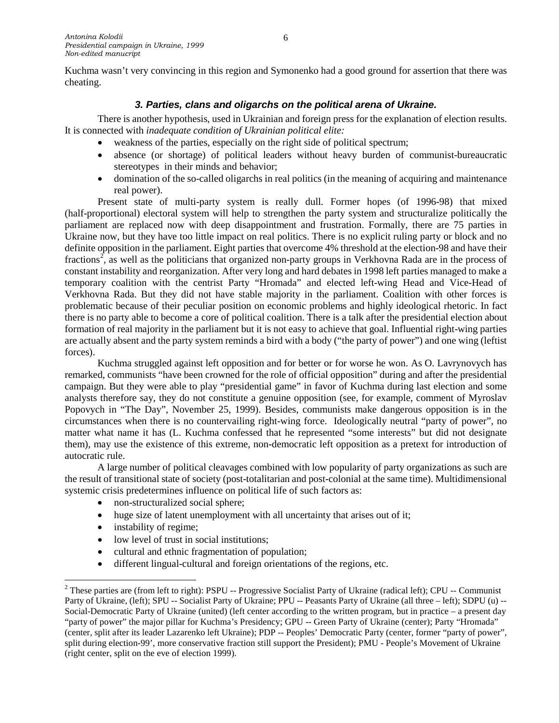Kuchma wasn't very convincing in this region and Symonenko had a good ground for assertion that there was cheating.

## *3. Parties, clans and oligarchs on the political arena of Ukraine.*

There is another hypothesis, used in Ukrainian and foreign press for the explanation of election results. It is connected with *inadequate condition of Ukrainian political elite:* 

- weakness of the parties, especially on the right side of political spectrum;
- absence (or shortage) of political leaders without heavy burden of communist-bureaucratic stereotypes in their minds and behavior;
- domination of the so-called oligarchs in real politics (in the meaning of acquiring and maintenance real power).

Present state of multi-party system is really dull. Former hopes (of 1996-98) that mixed (half-proportional) electoral system will help to strengthen the party system and structuralize politically the parliament are replaced now with deep disappointment and frustration. Formally, there are 75 parties in Ukraine now, but they have too little impact on real politics. There is no explicit ruling party or block and no definite opposition in the parliament. Eight parties that overcome 4% threshold at the election-98 and have their fractions<sup>[2](#page-5-0)</sup>, as well as the politicians that organized non-party groups in Verkhovna Rada are in the process of constant instability and reorganization. After very long and hard debates in 1998 left parties managed to make a temporary coalition with the centrist Party "Hromada" and elected left-wing Head and Vice-Head of Verkhovna Rada. But they did not have stable majority in the parliament. Coalition with other forces is problematic because of their peculiar position on economic problems and highly ideological rhetoric. In fact there is no party able to become a core of political coalition. There is a talk after the presidential election about formation of real majority in the parliament but it is not easy to achieve that goal. Influential right-wing parties are actually absent and the party system reminds a bird with a body ("the party of power") and one wing (leftist forces).

Kuchma struggled against left opposition and for better or for worse he won. As O. Lavrynovych has remarked, communists "have been crowned for the role of official opposition" during and after the presidential campaign. But they were able to play "presidential game" in favor of Kuchma during last election and some analysts therefore say, they do not constitute a genuine opposition (see, for example, comment of Myroslav Popovych in "The Day", November 25, 1999). Besides, communists make dangerous opposition is in the circumstances when there is no countervailing right-wing force. Ideologically neutral "party of power", no matter what name it has (L. Kuchma confessed that he represented "some interests" but did not designate them), may use the existence of this extreme, non-democratic left opposition as a pretext for introduction of autocratic rule.

A large number of political cleavages combined with low popularity of party organizations as such are the result of transitional state of society (post-totalitarian and post-colonial at the same time). Multidimensional systemic crisis predetermines influence on political life of such factors as:

- non-structuralized social sphere;
- huge size of latent unemployment with all uncertainty that arises out of it;
- instability of regime;
- low level of trust in social institutions;
- cultural and ethnic fragmentation of population;
- different lingual-cultural and foreign orientations of the regions, etc.

<span id="page-5-0"></span><sup>&</sup>lt;sup>2</sup> These parties are (from left to right): PSPU -- Progressive Socialist Party of Ukraine (radical left); CPU -- Communist Party of Ukraine, (left); SPU -- Socialist Party of Ukraine; PPU -- Peasants Party of Ukraine (all three – left); SDPU (u) --Social-Democratic Party of Ukraine (united) (left center according to the written program, but in practice – a present day "party of power" the major pillar for Kuchma's Presidency; GPU -- Green Party of Ukraine (center); Party "Hromada" (center, split after its leader Lazarenko left Ukraine); PDP -- Peoples' Democratic Party (center, former "party of power", split during election-99', more conservative fraction still support the President); PMU - People's Movement of Ukraine (right center, split on the eve of election 1999).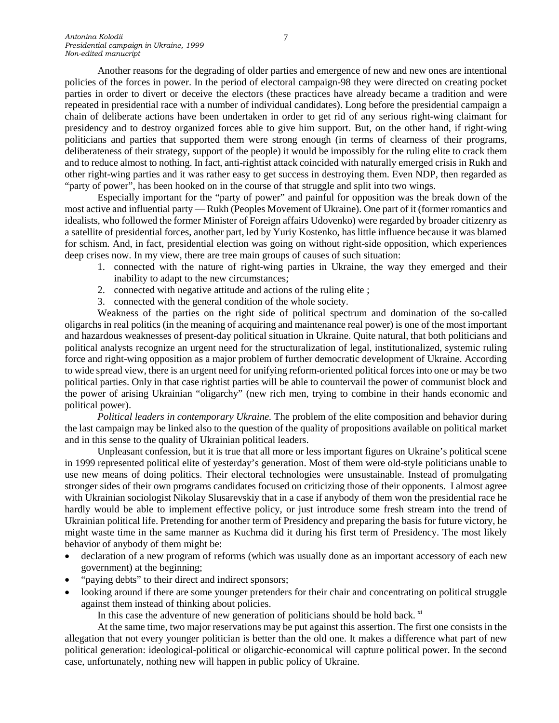Another reasons for the degrading of older parties and emergence of new and new ones are intentional policies of the forces in power. In the period of electoral campaign-98 they were directed on creating pocket parties in order to divert or deceive the electors (these practices have already became a tradition and were repeated in presidential race with a number of individual candidates). Long before the presidential campaign a chain of deliberate actions have been undertaken in order to get rid of any serious right-wing claimant for presidency and to destroy organized forces able to give him support. But, on the other hand, if right-wing politicians and parties that supported them were strong enough (in terms of clearness of their programs, deliberateness of their strategy, support of the people) it would be impossibly for the ruling elite to crack them and to reduce almost to nothing. In fact, anti-rightist attack coincided with naturally emerged crisis in Rukh and other right-wing parties and it was rather easy to get success in destroying them. Even NDP, then regarded as "party of power", has been hooked on in the course of that struggle and split into two wings.

Especially important for the "party of power" and painful for opposition was the break down of the most active and influential party — Rukh (Peoples Movement of Ukraine). One part of it (former romantics and idealists, who followed the former Minister of Foreign affairs Udovenko) were regarded by broader citizenry as a satellite of presidential forces, another part, led by Yuriy Kostenko, has little influence because it was blamed for schism. And, in fact, presidential election was going on without right-side opposition, which experiences deep crises now. In my view, there are tree main groups of causes of such situation:

- 1. connected with the nature of right-wing parties in Ukraine, the way they emerged and their inability to adapt to the new circumstances;
- 2. connected with negative attitude and actions of the ruling elite ;
- 3. connected with the general condition of the whole society.

Weakness of the parties on the right side of political spectrum and domination of the so-called oligarchs in real politics (in the meaning of acquiring and maintenance real power) is one of the most important and hazardous weaknesses of present-day political situation in Ukraine. Quite natural, that both politicians and political analysts recognize an urgent need for the structuralization of legal, institutionalized, systemic ruling force and right-wing opposition as a major problem of further democratic development of Ukraine. According to wide spread view, there is an urgent need for unifying reform-oriented political forces into one or may be two political parties. Only in that case rightist parties will be able to countervail the power of communist block and the power of arising Ukrainian "oligarchy" (new rich men, trying to combine in their hands economic and political power).

*Political leaders in contemporary Ukraine.* The problem of the elite composition and behavior during the last campaign may be linked also to the question of the quality of propositions available on political market and in this sense to the quality of Ukrainian political leaders.

Unpleasant confession, but it is true that all more or less important figures on Ukraine's political scene in 1999 represented political elite of yesterday's generation. Most of them were old-style politicians unable to use new means of doing politics. Their electoral technologies were unsustainable. Instead of promulgating stronger sides of their own programs candidates focused on criticizing those of their opponents. I almost agree with Ukrainian sociologist Nikolay Slusarevskiy that in a case if anybody of them won the presidential race he hardly would be able to implement effective policy, or just introduce some fresh stream into the trend of Ukrainian political life. Pretending for another term of Presidency and preparing the basis for future victory, he might waste time in the same manner as Kuchma did it during his first term of Presidency. The most likely behavior of anybody of them might be:

- declaration of a new program of reforms (which was usually done as an important accessory of each new government) at the beginning;
- "paying debts" to their direct and indirect sponsors;
- looking around if there are some younger pretenders for their chair and concentrating on political struggle against them instead of thinking about policies.

In this case the adventure of new generation of politicians should be hold back.  $\frac{xi}{x}$ 

At the same time, two major reservations may be put against this assertion. The first one consists in the allegation that not every younger politician is better than the old one. It makes a difference what part of new political generation: ideological-political or oligarchic-economical will capture political power. In the second case, unfortunately, nothing new will happen in public policy of Ukraine.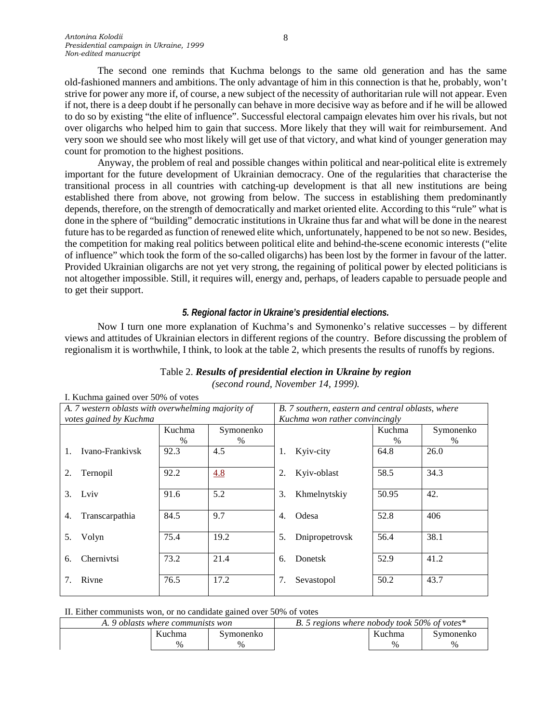The second one reminds that Kuchma belongs to the same old generation and has the same old-fashioned manners and ambitions. The only advantage of him in this connection is that he, probably, won't strive for power any more if, of course, a new subject of the necessity of authoritarian rule will not appear. Even if not, there is a deep doubt if he personally can behave in more decisive way as before and if he will be allowed to do so by existing "the elite of influence". Successful electoral campaign elevates him over his rivals, but not over oligarchs who helped him to gain that success. More likely that they will wait for reimbursement. And very soon we should see who most likely will get use of that victory, and what kind of younger generation may count for promotion to the highest positions.

Anyway, the problem of real and possible changes within political and near-political elite is extremely important for the future development of Ukrainian democracy. One of the regularities that characterise the transitional process in all countries with catching-up development is that all new institutions are being established there from above, not growing from below. The success in establishing them predominantly depends, therefore, on the strength of democratically and market oriented elite. According to this "rule" what is done in the sphere of "building" democratic institutions in Ukraine thus far and what will be done in the nearest future has to be regarded as function of renewed elite which, unfortunately, happened to be not so new. Besides, the competition for making real politics between political elite and behind-the-scene economic interests ("elite of influence" which took the form of the so-called oligarchs) has been lost by the former in favour of the latter. Provided Ukrainian oligarchs are not yet very strong, the regaining of political power by elected politicians is not altogether impossible. Still, it requires will, energy and, perhaps, of leaders capable to persuade people and to get their support.

### *5. Regional factor in Ukraine's presidential elections.*

Now I turn one more explanation of Kuchma's and Symonenko's relative successes – by different views and attitudes of Ukrainian electors in different regions of the country. Before discussing the problem of regionalism it is worthwhile, I think, to look at the table 2, which presents the results of runoffs by regions.

|    | 1. Kuchina gamcu ovci 50% of voics                 |        |           |                                                   |                |        |           |  |  |  |
|----|----------------------------------------------------|--------|-----------|---------------------------------------------------|----------------|--------|-----------|--|--|--|
|    | A. 7 western oblasts with overwhelming majority of |        |           | B. 7 southern, eastern and central oblasts, where |                |        |           |  |  |  |
|    | votes gained by Kuchma                             |        |           | Kuchma won rather convincingly                    |                |        |           |  |  |  |
|    |                                                    | Kuchma | Symonenko |                                                   |                | Kuchma | Symonenko |  |  |  |
|    |                                                    | $\%$   | $\%$      |                                                   |                | $\%$   | $\%$      |  |  |  |
| 1. | Ivano-Frankiysk                                    | 92.3   | 4.5       | 1.                                                | Kyiv-city      | 64.8   | 26.0      |  |  |  |
| 2. | Ternopil                                           | 92.2   | 4.8       | 2.                                                | Kyiv-oblast    | 58.5   | 34.3      |  |  |  |
| 3. | Lviv                                               | 91.6   | 5.2       | 3.                                                | Khmelnytskiy   | 50.95  | 42.       |  |  |  |
| 4. | Transcarpathia                                     | 84.5   | 9.7       | 4.                                                | Odesa          | 52.8   | 406       |  |  |  |
| 5. | Volyn                                              | 75.4   | 19.2      | 5.                                                | Dnipropetrovsk | 56.4   | 38.1      |  |  |  |
| 6. | Chernivtsi                                         | 73.2   | 21.4      | 6.                                                | Donetsk        | 52.9   | 41.2      |  |  |  |
|    | Rivne                                              | 76.5   | 17.2      | 7.                                                | Sevastopol     | 50.2   | 43.7      |  |  |  |

|  |  |                                    |  | Table 2. Results of presidential election in Ukraine by region |
|--|--|------------------------------------|--|----------------------------------------------------------------|
|  |  | (second round, November 14, 1999). |  |                                                                |

|  |  | II. Either communists won, or no candidate gained over 50% of votes |  |  |  |  |  |  |  |  |
|--|--|---------------------------------------------------------------------|--|--|--|--|--|--|--|--|
|--|--|---------------------------------------------------------------------|--|--|--|--|--|--|--|--|

| 9 oblasts where communists won |        |           | B. 5 regions where nobody took 50% of votes $*$ |        |           |  |
|--------------------------------|--------|-----------|-------------------------------------------------|--------|-----------|--|
|                                | Kuchma | Symonenko |                                                 | Kuchma | Symonenko |  |
|                                | $\%$   | $\%$      |                                                 | $\%$   | $\%$      |  |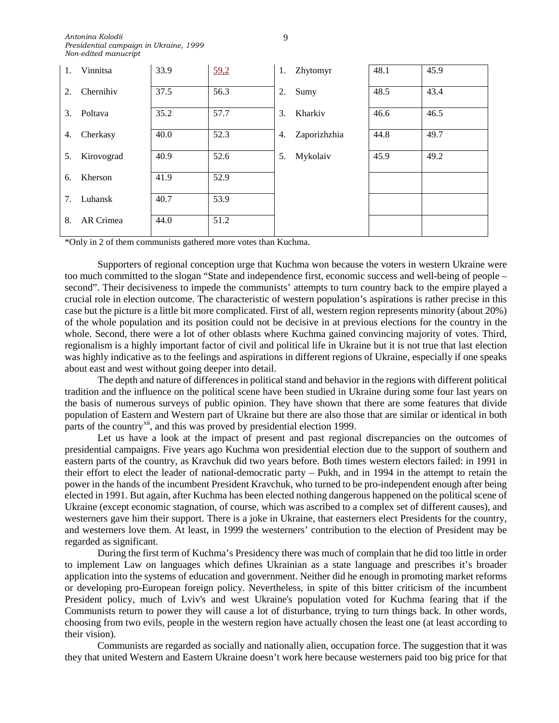| 1. | Vinnitsa   | 33.9 | 59,2 | 1. | Zhytomyr     | 48.1 | 45.9 |
|----|------------|------|------|----|--------------|------|------|
| 2. | Chernihiv  | 37.5 | 56.3 | 2. | Sumy         | 48.5 | 43.4 |
| 3. | Poltava    | 35.2 | 57.7 | 3. | Kharkiv      | 46.6 | 46.5 |
| 4. | Cherkasy   | 40.0 | 52.3 | 4. | Zaporizhzhia | 44.8 | 49.7 |
| 5. | Kirovograd | 40.9 | 52.6 | 5. | Mykolaiv     | 45.9 | 49.2 |
| 6. | Kherson    | 41.9 | 52.9 |    |              |      |      |
| 7. | Luhansk    | 40.7 | 53.9 |    |              |      |      |
| 8. | AR Crimea  | 44.0 | 51.2 |    |              |      |      |

\*Only in 2 of them communists gathered more votes than Kuchma.

Supporters of regional conception urge that Kuchma won because the voters in western Ukraine were too much committed to the slogan "State and independence first, economic success and well-being of people – second". Their decisiveness to impede the communists' attempts to turn country back to the empire played a crucial role in election outcome. The characteristic of western population's aspirations is rather precise in this case but the picture is a little bit more complicated. First of all, western region represents minority (about 20%) of the whole population and its position could not be decisive in at previous elections for the country in the whole. Second, there were a lot of other oblasts where Kuchma gained convincing majority of votes. Third, regionalism is a highly important factor of civil and political life in Ukraine but it is not true that last election was highly indicative as to the feelings and aspirations in different regions of Ukraine, especially if one speaks about east and west without going deeper into detail.

The depth and nature of differences in political stand and behavior in the regions with different political tradition and the influence on the political scene have been studied in Ukraine during some four last years on the basis of numerous surveys of public opinion. They have shown that there are some features that divide population of Eastern and Western part of Ukraine but there are also those that are similar or identical in both parts of the country<sup>[xii](#page-13-11)</sup>, and this was proved by presidential election 1999.

Let us have a look at the impact of present and past regional discrepancies on the outcomes of presidential campaigns. Five years ago Kuchma won presidential election due to the support of southern and eastern parts of the country, as Kravchuk did two years before. Both times western electors failed: in 1991 in their effort to elect the leader of national-democratic party – Pukh, and in 1994 in the attempt to retain the power in the hands of the incumbent President Kravchuk, who turned to be pro-independent enough after being elected in 1991. But again, after Kuchma has been elected nothing dangerous happened on the political scene of Ukraine (except economic stagnation, of course, which was ascribed to a complex set of different causes), and westerners gave him their support. There is a joke in Ukraine, that easterners elect Presidents for the country, and westerners love them. At least, in 1999 the westerners' contribution to the election of President may be regarded as significant.

During the first term of Kuchma's Presidency there was much of complain that he did too little in order to implement Law on languages which defines Ukrainian as a state language and prescribes it's broader application into the systems of education and government. Neither did he enough in promoting market reforms or developing pro-European foreign policy. Nevertheless, in spite of this bitter criticism of the incumbent President policy, much of Lviv's and west Ukraine's population voted for Kuchma fearing that if the Communists return to power they will cause a lot of disturbance, trying to turn things back. In other words, choosing from two evils, people in the western region have actually chosen the least one (at least according to their vision).

Communists are regarded as socially and nationally alien, occupation force. The suggestion that it was they that united Western and Eastern Ukraine doesn't work here because westerners paid too big price for that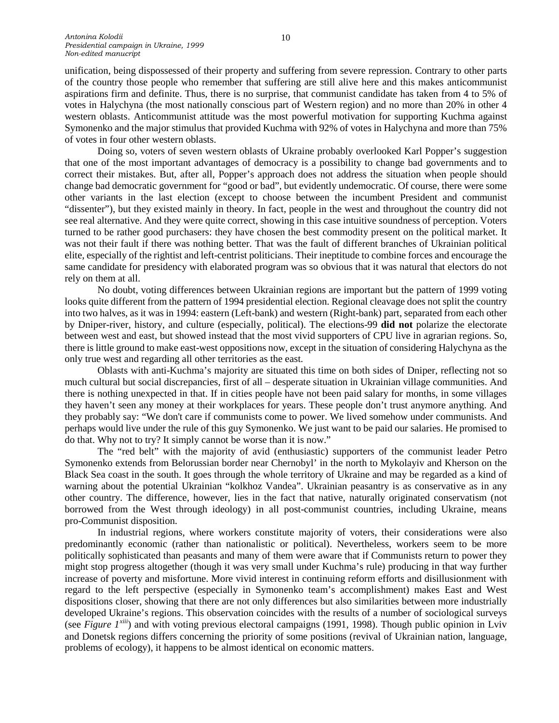unification, being dispossessed of their property and suffering from severe repression. Contrary to other parts of the country those people who remember that suffering are still alive here and this makes anticommunist aspirations firm and definite. Thus, there is no surprise, that communist candidate has taken from 4 to 5% of votes in Halychyna (the most nationally conscious part of Western region) and no more than 20% in other 4 western oblasts. Anticommunist attitude was the most powerful motivation for supporting Kuchma against Symonenko and the major stimulus that provided Kuchma with 92% of votes in Halychyna and more than 75% of votes in four other western oblasts.

Doing so, voters of seven western oblasts of Ukraine probably overlooked Karl Popper's suggestion that one of the most important advantages of democracy is a possibility to change bad governments and to correct their mistakes. But, after all, Popper's approach does not address the situation when people should change bad democratic government for "good or bad", but evidently undemocratic. Of course, there were some other variants in the last election (except to choose between the incumbent President and communist "dissenter"), but they existed mainly in theory. In fact, people in the west and throughout the country did not see real alternative. And they were quite correct, showing in this case intuitive soundness of perception. Voters turned to be rather good purchasers: they have chosen the best commodity present on the political market. It was not their fault if there was nothing better. That was the fault of different branches of Ukrainian political elite, especially of the rightist and left-centrist politicians. Their ineptitude to combine forces and encourage the same candidate for presidency with elaborated program was so obvious that it was natural that electors do not rely on them at all.

No doubt, voting differences between Ukrainian regions are important but the pattern of 1999 voting looks quite different from the pattern of 1994 presidential election. Regional cleavage does not split the country into two halves, as it was in 1994: eastern (Left-bank) and western (Right-bank) part, separated from each other by Dniper-river, history, and culture (especially, political). The elections-99 **did not** polarize the electorate between west and east, but showed instead that the most vivid supporters of CPU live in agrarian regions. So, there is little ground to make east-west oppositions now, except in the situation of considering Halychyna as the only true west and regarding all other territories as the east.

Oblasts with anti-Kuchma's majority are situated this time on both sides of Dniper, reflecting not so much cultural but social discrepancies, first of all – desperate situation in Ukrainian village communities. And there is nothing unexpected in that. If in cities people have not been paid salary for months, in some villages they haven't seen any money at their workplaces for years. These people don't trust anymore anything. And they probably say: "We don't care if communists come to power. We lived somehow under communists. And perhaps would live under the rule of this guy Symonenko. We just want to be paid our salaries. He promised to do that. Why not to try? It simply cannot be worse than it is now."

The "red belt" with the majority of avid (enthusiastic) supporters of the communist leader Petro Symonenko extends from Belorussian border near Chernobyl' in the north to Mykolayiv and Kherson on the Black Sea coast in the south. It goes through the whole territory of Ukraine and may be regarded as a kind of warning about the potential Ukrainian "kolkhoz Vandea". Ukrainian peasantry is as conservative as in any other country. The difference, however, lies in the fact that native, naturally originated conservatism (not borrowed from the West through ideology) in all post-communist countries, including Ukraine, means pro-Communist disposition.

In industrial regions, where workers constitute majority of voters, their considerations were also predominantly economic (rather than nationalistic or political). Nevertheless, workers seem to be more politically sophisticated than peasants and many of them were aware that if Communists return to power they might stop progress altogether (though it was very small under Kuchma's rule) producing in that way further increase of poverty and misfortune. More vivid interest in continuing reform efforts and disillusionment with regard to the left perspective (especially in Symonenko team's accomplishment) makes East and West dispositions closer, showing that there are not only differences but also similarities between more industrially developed Ukraine's regions. This observation coincides with the results of a number of sociological surveys (see *Figure 1[xiii](#page-13-12)*) and with voting previous electoral campaigns (1991, 1998). Though public opinion in Lviv and Donetsk regions differs concerning the priority of some positions (revival of Ukrainian nation, language, problems of ecology), it happens to be almost identical on economic matters.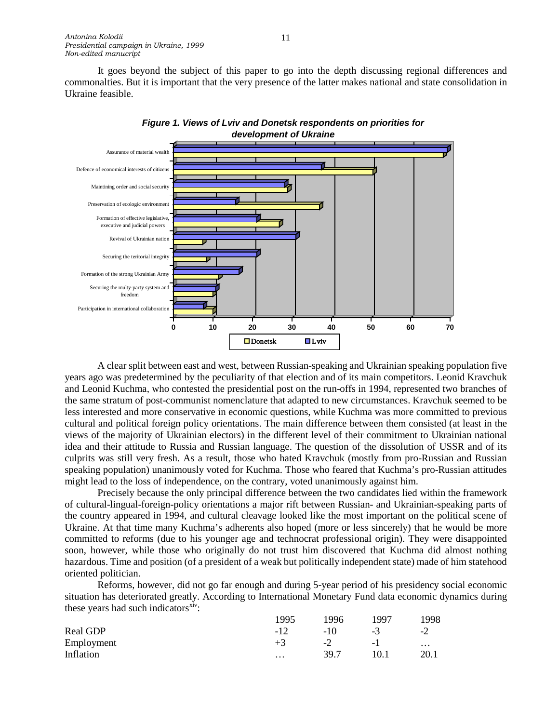It goes beyond the subject of this paper to go into the depth discussing regional differences and commonalties. But it is important that the very presence of the latter makes national and state consolidation in Ukraine feasible.



*Figure 1. Views of Lviv and Donetsk respondents on priorities for development of Ukraine*

A clear split between east and west, between Russian-speaking and Ukrainian speaking population five years ago was predetermined by the peculiarity of that election and of its main competitors. Leonid Kravchuk and Leonid Kuchma, who contested the presidential post on the run-offs in 1994, represented two branches of the same stratum of post-communist nomenclature that adapted to new circumstances. Kravchuk seemed to be less interested and more conservative in economic questions, while Kuchma was more committed to previous cultural and political foreign policy orientations. The main difference between them consisted (at least in the views of the majority of Ukrainian electors) in the different level of their commitment to Ukrainian national idea and their attitude to Russia and Russian language. The question of the dissolution of USSR and of its culprits was still very fresh. As a result, those who hated Kravchuk (mostly from pro-Russian and Russian speaking population) unanimously voted for Kuchma. Those who feared that Kuchma's pro-Russian attitudes might lead to the loss of independence, on the contrary, voted unanimously against him.

Precisely because the only principal difference between the two candidates lied within the framework of cultural-lingual-foreign-policy orientations a major rift between Russian- and Ukrainian-speaking parts of the country appeared in 1994, and cultural cleavage looked like the most important on the political scene of Ukraine. At that time many Kuchma's adherents also hoped (more or less sincerely) that he would be more committed to reforms (due to his younger age and technocrat professional origin). They were disappointed soon, however, while those who originally do not trust him discovered that Kuchma did almost nothing hazardous. Time and position (of a president of a weak but politically independent state) made of him statehood oriented politician.

Reforms, however, did not go far enough and during 5-year period of his presidency social economic situation has deteriorated greatly. According to International Monetary Fund data economic dynamics during these years had such indicators $x^{\text{iv}}$ :

|            | 1995     | 1996  | 1997     | 998                      |
|------------|----------|-------|----------|--------------------------|
| Real GDP   | $-12$    | $-10$ | - 1      | $\overline{\phantom{a}}$ |
| Employment | $+3$     | $-2$  | $\sim$ 1 | $\cdots$                 |
| Inflation  | $\cdots$ | 39.7  | 10.1     | 20.1                     |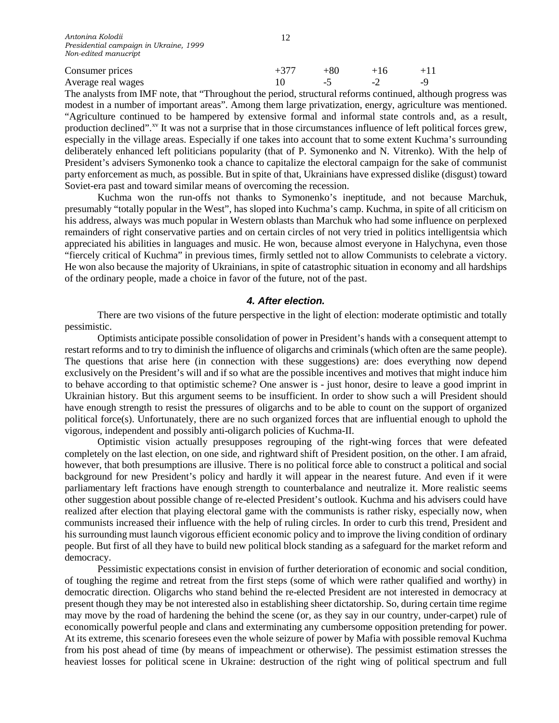| Consumer prices    | +80 |   |  |
|--------------------|-----|---|--|
| Average real wages | -   | - |  |

The analysts from IMF note, that "Throughout the period, structural reforms continued, although progress was modest in a number of important areas". Among them large privatization, energy, agriculture was mentioned. "Agriculture continued to be hampered by extensive formal and informal state controls and, as a result, production declined".<sup>[xv](#page-13-14)</sup> It was not a surprise that in those circumstances influence of left political forces grew, especially in the village areas. Especially if one takes into account that to some extent Kuchma's surrounding deliberately enhanced left politicians popularity (that of P. Symonenko and N. Vitrenko). With the help of President's advisers Symonenko took a chance to capitalize the electoral campaign for the sake of communist party enforcement as much, as possible. But in spite of that, Ukrainians have expressed dislike (disgust) toward Soviet-era past and toward similar means of overcoming the recession.

Kuchma won the run-offs not thanks to Symonenko's ineptitude, and not because Marchuk, presumably "totally popular in the West", has sloped into Kuchma's camp. Kuchma, in spite of all criticism on his address, always was much popular in Western oblasts than Marchuk who had some influence on perplexed remainders of right conservative parties and on certain circles of not very tried in politics intelligentsia which appreciated his abilities in languages and music. He won, because almost everyone in Halychyna, even those "fiercely critical of Kuchma" in previous times, firmly settled not to allow Communists to celebrate a victory. He won also because the majority of Ukrainians, in spite of catastrophic situation in economy and all hardships of the ordinary people, made a choice in favor of the future, not of the past.

#### *4. After election.*

There are two visions of the future perspective in the light of election: moderate optimistic and totally pessimistic.

Optimists anticipate possible consolidation of power in President's hands with a consequent attempt to restart reforms and to try to diminish the influence of oligarchs and criminals (which often are the same people). The questions that arise here (in connection with these suggestions) are: does everything now depend exclusively on the President's will and if so what are the possible incentives and motives that might induce him to behave according to that optimistic scheme? One answer is - just honor, desire to leave a good imprint in Ukrainian history. But this argument seems to be insufficient. In order to show such a will President should have enough strength to resist the pressures of oligarchs and to be able to count on the support of organized political force(s). Unfortunately, there are no such organized forces that are influential enough to uphold the vigorous, independent and possibly anti-oligarch policies of Kuchma-II.

Optimistic vision actually presupposes regrouping of the right-wing forces that were defeated completely on the last election, on one side, and rightward shift of President position, on the other. I am afraid, however, that both presumptions are illusive. There is no political force able to construct a political and social background for new President's policy and hardly it will appear in the nearest future. And even if it were parliamentary left fractions have enough strength to counterbalance and neutralize it. More realistic seems other suggestion about possible change of re-elected President's outlook. Kuchma and his advisers could have realized after election that playing electoral game with the communists is rather risky, especially now, when communists increased their influence with the help of ruling circles. In order to curb this trend, President and his surrounding must launch vigorous efficient economic policy and to improve the living condition of ordinary people. But first of all they have to build new political block standing as a safeguard for the market reform and democracy.

Pessimistic expectations consist in envision of further deterioration of economic and social condition, of toughing the regime and retreat from the first steps (some of which were rather qualified and worthy) in democratic direction. Oligarchs who stand behind the re-elected President are not interested in democracy at present though they may be not interested also in establishing sheer dictatorship. So, during certain time regime may move by the road of hardening the behind the scene (or, as they say in our country, under-carpet) rule of economically powerful people and clans and exterminating any cumbersome opposition pretending for power. At its extreme, this scenario foresees even the whole seizure of power by Mafia with possible removal Kuchma from his post ahead of time (by means of impeachment or otherwise). The pessimist estimation stresses the heaviest losses for political scene in Ukraine: destruction of the right wing of political spectrum and full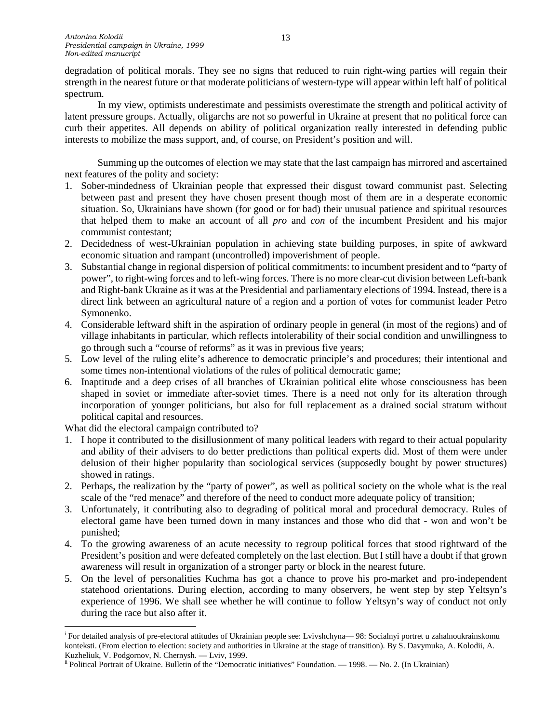degradation of political morals. They see no signs that reduced to ruin right-wing parties will regain their strength in the nearest future or that moderate politicians of western-type will appear within left half of political spectrum.

In my view, optimists underestimate and pessimists overestimate the strength and political activity of latent pressure groups. Actually, oligarchs are not so powerful in Ukraine at present that no political force can curb their appetites. All depends on ability of political organization really interested in defending public interests to mobilize the mass support, and, of course, on President's position and will.

Summing up the outcomes of election we may state that the last campaign has mirrored and ascertained next features of the polity and society:

- 1. Sober-mindedness of Ukrainian people that expressed their disgust toward communist past. Selecting between past and present they have chosen present though most of them are in a desperate economic situation. So, Ukrainians have shown (for good or for bad) their unusual patience and spiritual resources that helped them to make an account of all *pro* and *con* of the incumbent President and his major communist contestant;
- 2. Decidedness of west-Ukrainian population in achieving state building purposes, in spite of awkward economic situation and rampant (uncontrolled) impoverishment of people.
- 3. Substantial change in regional dispersion of political commitments: to incumbent president and to "party of power", to right-wing forces and to left-wing forces. There is no more clear-cut division between Left-bank and Right-bank Ukraine as it was at the Presidential and parliamentary elections of 1994. Instead, there is a direct link between an agricultural nature of a region and a portion of votes for communist leader Petro Symonenko.
- 4. Considerable leftward shift in the aspiration of ordinary people in general (in most of the regions) and of village inhabitants in particular, which reflects intolerability of their social condition and unwillingness to go through such a "course of reforms" as it was in previous five years;
- 5. Low level of the ruling elite's adherence to democratic principle's and procedures; their intentional and some times non-intentional violations of the rules of political democratic game;
- 6. Inaptitude and a deep crises of all branches of Ukrainian political elite whose consciousness has been shaped in soviet or immediate after-soviet times. There is a need not only for its alteration through incorporation of younger politicians, but also for full replacement as a drained social stratum without political capital and resources.

What did the electoral campaign contributed to?

- 1. I hope it contributed to the disillusionment of many political leaders with regard to their actual popularity and ability of their advisers to do better predictions than political experts did. Most of them were under delusion of their higher popularity than sociological services (supposedly bought by power structures) showed in ratings.
- 2. Perhaps, the realization by the "party of power", as well as political society on the whole what is the real scale of the "red menace" and therefore of the need to conduct more adequate policy of transition;
- 3. Unfortunately, it contributing also to degrading of political moral and procedural democracy. Rules of electoral game have been turned down in many instances and those who did that - won and won't be punished;
- 4. To the growing awareness of an acute necessity to regroup political forces that stood rightward of the President's position and were defeated completely on the last election. But I still have a doubt if that grown awareness will result in organization of a stronger party or block in the nearest future.
- 5. On the level of personalities Kuchma has got a chance to prove his pro-market and pro-independent statehood orientations. During election, according to many observers, he went step by step Yeltsyn's experience of 1996. We shall see whether he will continue to follow Yeltsyn's way of conduct not only during the race but also after it.

i <sup>i</sup> For detailed analysis of pre-electoral attitudes of Ukrainian people see: Lyivshchyna— 98: Socialnyi portret u zahalnoukrainskomu konteksti. (From election to election: society and authorities in Ukraine at the stage of transition). By S. Davymuka, A. Kolodii, A.

Kuzheliuk, V. Podgornov, N. Chernysh. — Lviv, 1999.<br><sup>ii</sup> Political Portrait of Ukraine. Bulletin of the "Democratic initiatives" Foundation. — 1998. — No. 2. (In Ukrainian)